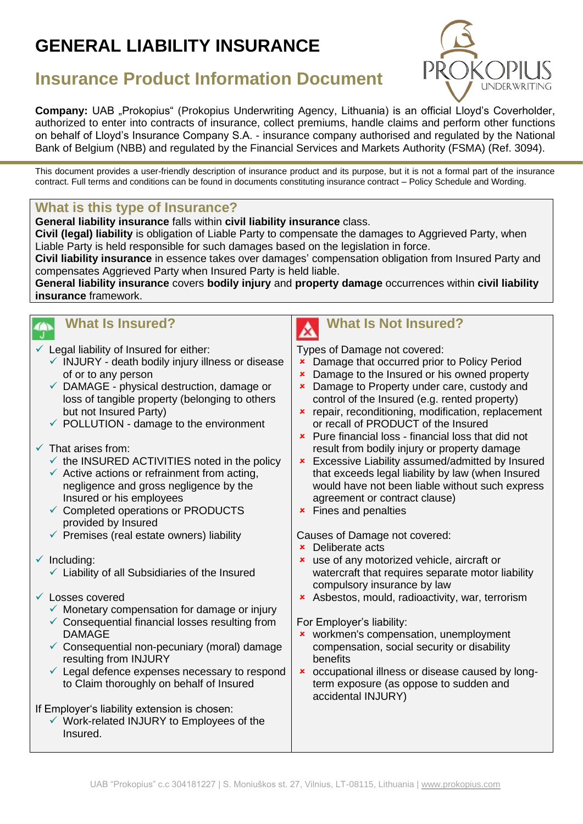# **GENERAL LIABILITY INSURANCE**



## **Insurance Product Information Document**

**Company:** UAB "Prokopius" (Prokopius Underwriting Agency, Lithuania) is an official Lloyd's Coverholder, authorized to enter into contracts of insurance, collect premiums, handle claims and perform other functions on behalf of Lloyd's Insurance Company S.A. - insurance company authorised and regulated by the National Bank of Belgium (NBB) and regulated by the Financial Services and Markets Authority (FSMA) (Ref. 3094).

This document provides a user-friendly description of insurance product and its purpose, but it is not a formal part of the insurance contract. Full terms and conditions can be found in documents constituting insurance contract – Policy Schedule and Wording.

#### **What is this type of Insurance?**

**General liability insurance** falls within **civil liability insurance** class.

**Civil (legal) liability** is obligation of Liable Party to compensate the damages to Aggrieved Party, when Liable Party is held responsible for such damages based on the legislation in force.

**Civil liability insurance** in essence takes over damages' compensation obligation from Insured Party and compensates Aggrieved Party when Insured Party is held liable.

**General liability insurance** covers **bodily injury** and **property damage** occurrences within **civil liability insurance** framework.



# **What Is Insured?**

- $\checkmark$  Legal liability of Insured for either:
	- $\checkmark$  INJURY death bodily injury illness or disease of or to any person
	- $\checkmark$  DAMAGE physical destruction, damage or loss of tangible property (belonging to others but not Insured Party)
	- $\checkmark$  POLLUTION damage to the environment

#### $\checkmark$  That arises from:

- $\checkmark$  the INSURED ACTIVITIES noted in the policy
- $\checkmark$  Active actions or refrainment from acting, negligence and gross negligence by the Insured or his employees
- ✓ Completed operations or PRODUCTS provided by Insured
- $\checkmark$  Premises (real estate owners) liability
- $\checkmark$  Including:
	- $\checkmark$  Liability of all Subsidiaries of the Insured
- ✓ Losses covered
	- $\checkmark$  Monetary compensation for damage or injury
	- $\checkmark$  Consequential financial losses resulting from DAMAGE
	- $\checkmark$  Consequential non-pecuniary (moral) damage resulting from INJURY
	- $\checkmark$  Legal defence expenses necessary to respond to Claim thoroughly on behalf of Insured

If Employer's liability extension is chosen:

✓ Work-related INJURY to Employees of the Insured.



## **What Is Not Insured?**

Types of Damage not covered:

- **EX** Damage that occurred prior to Policy Period
- **EX** Damage to the Insured or his owned property
- **EX** Damage to Property under care, custody and control of the Insured (e.g. rented property)
- **x** repair, reconditioning, modification, replacement or recall of PRODUCT of the Insured
- **\*** Pure financial loss financial loss that did not result from bodily injury or property damage
- **\*** Excessive Liability assumed/admitted by Insured that exceeds legal liability by law (when Insured would have not been liable without such express agreement or contract clause)
- **\*** Fines and penalties

Causes of Damage not covered:

- Deliberate acts
- use of any motorized vehicle, aircraft or watercraft that requires separate motor liability compulsory insurance by law
- Asbestos, mould, radioactivity, war, terrorism

For Employer's liability:

- **x** workmen's compensation, unemployment compensation, social security or disability benefits
- occupational illness or disease caused by longterm exposure (as oppose to sudden and accidental INJURY)